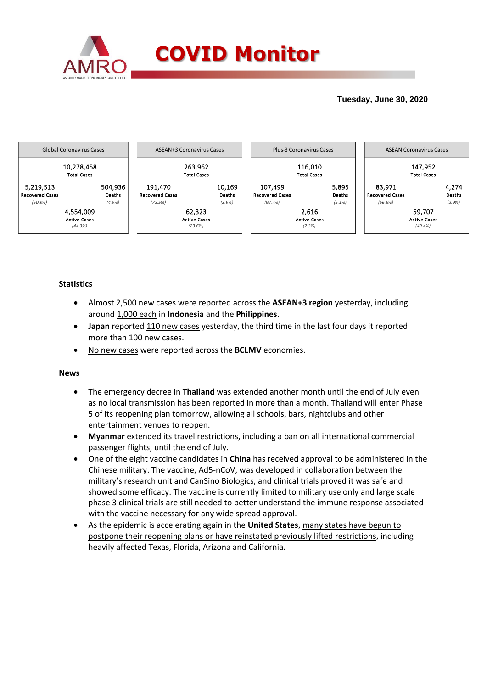

## **Tuesday, June 30, 2020**



### **Statistics**

- Almost 2,500 new cases were reported across the **ASEAN+3 region** yesterday, including around 1,000 each in **Indonesia** and the **Philippines**.
- **Japan** reported 110 new cases yesterday, the third time in the last four days it reported more than 100 new cases.
- No new cases were reported across the **BCLMV** economies.

#### **News**

- The emergency decree in **Thailand** was extended another month until the end of July even as no local transmission has been reported in more than a month. Thailand will enter Phase 5 of its reopening plan tomorrow, allowing all schools, bars, nightclubs and other entertainment venues to reopen.
- **Myanmar** extended its travel restrictions, including a ban on all international commercial passenger flights, until the end of July.
- One of the eight vaccine candidates in **China** has received approval to be administered in the Chinese military. The vaccine, Ad5-nCoV, was developed in collaboration between the military's research unit and CanSino Biologics, and clinical trials proved it was safe and showed some efficacy. The vaccine is currently limited to military use only and large scale phase 3 clinical trials are still needed to better understand the immune response associated with the vaccine necessary for any wide spread approval.
- As the epidemic is accelerating again in the **United States**, many states have begun to postpone their reopening plans or have reinstated previously lifted restrictions, including heavily affected Texas, Florida, Arizona and California.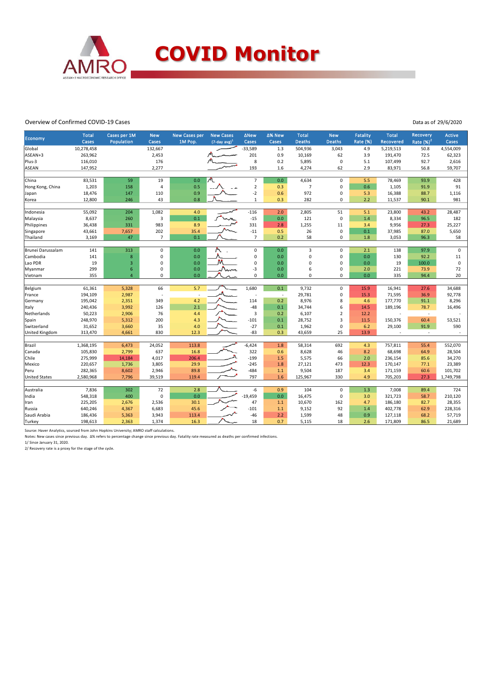

#### Overview of Confirmed COVID-19 Cases

Data as of 29/6/2020

| <b>Economy</b>        | <b>Total</b><br>Cases | Cases per 1M<br>Population | <b>New</b><br>Cases | <b>New Cases per</b><br>1M Pop. | <b>New Cases</b><br>$(7$ -day avg $)^1$ | <b>ANew</b><br>Cases    | ∆% New<br>Cases          | <b>Total</b><br><b>Deaths</b> | <b>New</b><br><b>Deaths</b> | <b>Fatality</b><br><b>Rate (%)</b> | Total<br>Recovered | Recovery<br>Rate $(%)2$ | <b>Active</b><br>Cases |
|-----------------------|-----------------------|----------------------------|---------------------|---------------------------------|-----------------------------------------|-------------------------|--------------------------|-------------------------------|-----------------------------|------------------------------------|--------------------|-------------------------|------------------------|
| Global                | 10,278,458            |                            | 132,667             |                                 |                                         | $-33,589$               | 1.3                      | 504,936                       | 3,043                       | 4.9                                | 5,219,513          | 50.8                    | 4,554,009              |
| ASEAN+3               | 263,962               |                            | 2,453               |                                 |                                         | 201                     | 0.9                      | 10,169                        | 62                          | 3.9                                | 191,470            | 72.5                    | 62,323                 |
| Plus-3                | 116,010               |                            | 176                 |                                 |                                         | 8                       | 0.2                      | 5,895                         | $\mathsf 0$                 | 5.1                                | 107,499            | 92.7                    | 2,616                  |
| <b>ASEAN</b>          | 147,952               |                            | 2,277               |                                 |                                         | 193                     | 1.6                      | 4,274                         | 62                          | 2.9                                | 83,971             | 56.8                    | 59,707                 |
|                       |                       |                            |                     |                                 |                                         |                         |                          |                               |                             |                                    |                    |                         |                        |
| China                 | 83,531                | 59                         | 19                  | 0.0                             |                                         | $\overline{7}$          | 0.0                      | 4,634                         | $\mathsf 0$                 | 5.5                                | 78,469             | 93.9                    | 428                    |
| Hong Kong, China      | 1,203                 | 158                        | $\overline{a}$      | 0.5                             |                                         | $\overline{2}$          | 0.3                      | $\overline{7}$                | $\mathbf 0$                 | 0.6                                | 1,105              | 91.9                    | 91                     |
| Japan                 | 18,476                | 147                        | 110                 | 0.9                             |                                         | $-2$                    | 0.6                      | 972                           | $\pmb{0}$                   | 5.3                                | 16,388             | 88.7                    | 1,116                  |
| Korea                 | 12,800                | 246                        | 43                  | 0.8                             |                                         | $\mathbf{1}$            | 0.3                      | 282                           | $\mathbf 0$                 | 2.2                                | 11,537             | 90.1                    | 981                    |
|                       |                       |                            |                     |                                 |                                         |                         |                          |                               |                             |                                    |                    |                         |                        |
| Indonesia             | 55,092                | 204                        | 1,082               | 4.0                             |                                         | $-116$                  | 2.0                      | 2,805                         | 51                          | 5.1                                | 23,800             | 43.2                    | 28,487                 |
| Malaysia              | 8,637                 | 260                        | $\overline{3}$      | 0.1                             |                                         | $-15$                   | 0.0                      | 121                           | $\mathbf 0$                 | 1.4                                | 8,334              | 96.5                    | 182                    |
| Philippines           | 36,438                | 331                        | 983                 | 8.9                             |                                         | 331                     | 2.8                      | 1,255                         | 11                          | 3.4                                | 9,956              | 27.3                    | 25,227                 |
| Singapore             | 43,661                | 7,657                      | 202                 | 35.4                            |                                         | $-11$<br>$\overline{7}$ | 0.5                      | 26                            | $\mathsf 0$                 | 0.1                                | 37,985             | 87.0                    | 5,650                  |
| Thailand              | 3,169                 | 47                         | $\overline{7}$      | 0.1                             |                                         |                         | 0.2                      | 58                            | $\mathbf 0$                 | $1.8\,$                            | 3,053              | 96.3                    | 58                     |
| Brunei Darussalam     | 141                   | 313                        | $\mathsf 0$         | 0.0                             |                                         | $\mathbf 0$             | 0.0                      | $\overline{3}$                | $\mathbf 0$                 | 2.1                                | 138                | 97.9                    | $\mathsf 0$            |
| Cambodia              | 141                   | $\bf8$                     | $\mathbf 0$         | 0.0                             |                                         | $\mathbf 0$             | 0.0                      | 0                             | $\pmb{0}$                   | 0.0                                | 130                | 92.2                    | 11                     |
| Lao PDR               | 19                    | 3                          | $\mathbf 0$         | 0.0                             |                                         | $\mathbf 0$             | 0.0                      | 0                             | $\mathbf 0$                 | 0.0                                | 19                 | 100.0                   | $\mathsf 0$            |
| Myanmar               | 299                   | 6                          | 0                   | 0.0                             | Num                                     | -3                      | 0.0                      | 6                             | $\pmb{0}$                   | 2.0                                | 221                | 73.9                    | 72                     |
| Vietnam               | 355                   | $\overline{4}$             | $\mathbf 0$         | 0.0                             |                                         | $\mathbf 0$             | 0.0                      | 0                             | $\mathbf 0$                 | 0.0                                | 335                | 94.4                    | 20                     |
|                       |                       |                            |                     |                                 |                                         |                         |                          |                               |                             |                                    |                    |                         |                        |
| Belgium               | 61,361                | 5,328                      | 66                  | 5.7                             |                                         | 1,680                   | 0.1                      | 9,732                         | $\mathbf 0$                 | 15.9                               | 16,941             | 27.6                    | 34,688                 |
| France                | 194,109               | 2,987                      |                     |                                 |                                         | ×                       | $\overline{\phantom{a}}$ | 29,781                        | $\pmb{0}$                   | 15.3                               | 71,595             | 36.9                    | 92,778                 |
| Germany               | 195,042               | 2,351                      | 349                 | 4.2                             |                                         | 114                     | 0.2                      | 8,976                         | 8                           | 4.6                                | 177,770            | 91.1                    | 8,296                  |
| Italy                 | 240,436               | 3,992                      | 126                 | 2.1                             |                                         | $-48$                   | 0.1                      | 34,744                        | 6                           | 14.5                               | 189,196            | 78.7                    | 16,496                 |
| Netherlands           | 50,223                | 2,906                      | 76                  | 4.4                             |                                         | $\overline{\mathbf{3}}$ | 0.2                      | 6,107                         | $\sqrt{2}$                  | 12.2                               |                    | $\sim$                  |                        |
| Spain                 | 248,970               | 5,312                      | 200                 | 4.3                             |                                         | $-101$                  | 0.1                      | 28,752                        | $\overline{3}$              | 11.5                               | 150,376            | 60.4                    | 53,521                 |
| Switzerland           | 31,652                | 3,660                      | 35                  | 4.0                             |                                         | $-27$                   | 0.1                      | 1,962                         | $\mathsf 0$                 | 6.2                                | 29,100             | 91.9                    | 590                    |
| <b>United Kingdom</b> | 313,470               | 4,661                      | 830                 | 12.3                            |                                         | $-83$                   | 0.3                      | 43,659                        | 25                          | 13.9                               |                    | $\sim$                  |                        |
| Brazil                | 1,368,195             | 6,473                      | 24,052              | 113.8                           |                                         | $-6,424$                | 1.8                      | 58,314                        | 692                         | 4.3                                | 757,811            | 55.4                    | 552,070                |
| Canada                | 105,830               | 2,799                      | 637                 | 16.8                            |                                         | 322                     | 0.6                      | 8,628                         | 46                          | 8.2                                | 68,698             | 64.9                    | 28,504                 |
| Chile                 | 275,999               | 14,184                     | 4,017               | 206.4                           |                                         | $-199$                  | 1.5                      | 5,575                         | 66                          | 2.0                                | 236,154            | 85.6                    | 34,270                 |
| Mexico                | 220,657               | 1,736                      | 3,805               | 29.9                            |                                         | $-245$                  | 1.8                      | 27,121                        | 473                         | 12.3                               | 170,147            | 77.1                    | 23,389                 |
| Peru                  | 282,365               | 8,602                      | 2,946               | 89.8                            |                                         | $-484$                  | $1.1$                    | 9,504                         | 187                         | 3.4                                | 171,159            | 60.6                    | 101,702                |
| <b>United States</b>  | 2,580,968             | 7,796                      | 39,519              | 119.4                           |                                         | 797                     | 1.6                      | 125,967                       | 330                         | 4.9                                | 705,203            | 27.3                    | 1,749,798              |
|                       |                       |                            |                     |                                 |                                         |                         |                          |                               |                             |                                    |                    |                         |                        |
| Australia             | 7,836                 | 302                        | 72                  | 2.8                             |                                         | -6                      | 0.9                      | 104                           | $\mathbf 0$                 | 1.3                                | 7,008              | 89.4                    | 724                    |
| India                 | 548,318               | 400                        | $\pmb{0}$           | 0.0                             |                                         | $-19,459$               | 0.0                      | 16,475                        | $\mathsf 0$                 | 3.0                                | 321,723            | 58.7                    | 210,120                |
| Iran                  | 225,205               | 2,676                      | 2,536               | 30.1                            |                                         | 47                      | 1.1                      | 10,670                        | 162                         | 4.7                                | 186,180            | 82.7                    | 28,355                 |
| Russia                | 640,246               | 4,367                      | 6,683               | 45.6                            |                                         | $-101$                  | $1.1$                    | 9,152                         | 92                          | 1.4                                | 402,778            | 62.9                    | 228,316                |
| Saudi Arabia          | 186,436               | 5,363                      | 3,943               | 113.4                           |                                         | $-46$                   | 2.2                      | 1,599                         | 48                          | 0.9                                | 127,118            | 68.2                    | 57,719                 |
| Turkey                | 198,613               | 2,363                      | 1,374               | 16.3                            |                                         | 18                      | 0.7                      | 5,115                         | 18                          | 2.6                                | 171,809            | 86.5                    | 21,689                 |

Source: Haver Analytics, sourced from John Hopkins University; AMRO staff calculations.

Notes: New cases since previous day. Δ% refers to percentage change since previous day. Fatality rate measured as deaths per confirmed infections.

1/ Since January 31, 2020. 2/ Recovery rate is a proxy for the stage of the cycle.